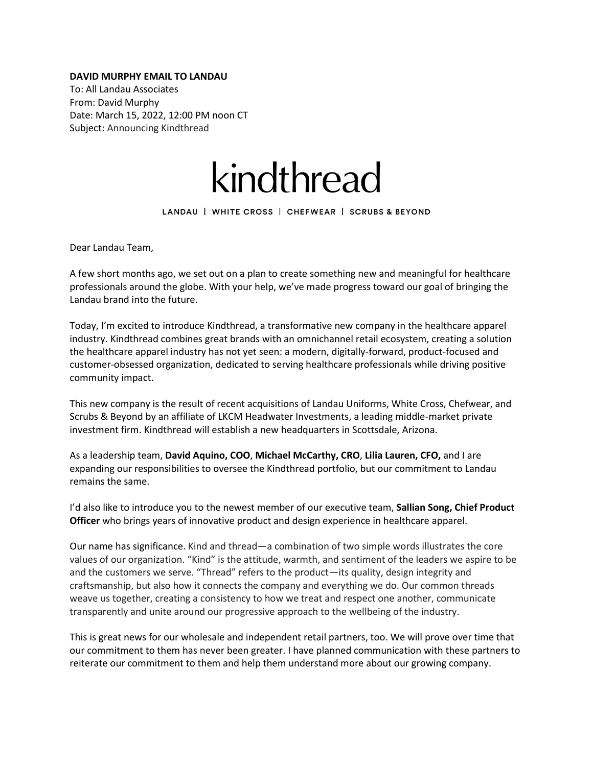## **DAVID MURPHY EMAIL TO LANDAU**

To: All Landau Associates From: David Murphy Date: March 15, 2022, 12:00 PM noon CT Subject: Announcing Kindthread



LANDAU | WHITE CROSS | CHEFWEAR | SCRUBS & BEYOND

Dear Landau Team,

A few short months ago, we set out on a plan to create something new and meaningful for healthcare professionals around the globe. With your help, we've made progress toward our goal of bringing the Landau brand into the future.

Today, I'm excited to introduce Kindthread, a transformative new company in the healthcare apparel industry. Kindthread combines great brands with an omnichannel retail ecosystem, creating a solution the healthcare apparel industry has not yet seen: a modern, digitally-forward, product-focused and customer-obsessed organization, dedicated to serving healthcare professionals while driving positive community impact.

This new company is the result of recent acquisitions of Landau Uniforms, White Cross, Chefwear, and Scrubs & Beyond by an affiliate of LKCM Headwater Investments, a leading middle-market private investment firm. Kindthread will establish a new headquarters in Scottsdale, Arizona.

As a leadership team, **David Aquino, COO**, **Michael McCarthy, CRO**, **Lilia Lauren, CFO,** and I are expanding our responsibilities to oversee the Kindthread portfolio, but our commitment to Landau remains the same.

I'd also like to introduce you to the newest member of our executive team, **Sallian Song, Chief Product Officer** who brings years of innovative product and design experience in healthcare apparel.

Our name has significance. Kind and thread—a combination of two simple words illustrates the core values of our organization. "Kind" is the attitude, warmth, and sentiment of the leaders we aspire to be and the customers we serve. "Thread" refers to the product—its quality, design integrity and craftsmanship, but also how it connects the company and everything we do. Our common threads weave us together, creating a consistency to how we treat and respect one another, communicate transparently and unite around our progressive approach to the wellbeing of the industry.

This is great news for our wholesale and independent retail partners, too. We will prove over time that our commitment to them has never been greater. I have planned communication with these partners to reiterate our commitment to them and help them understand more about our growing company.